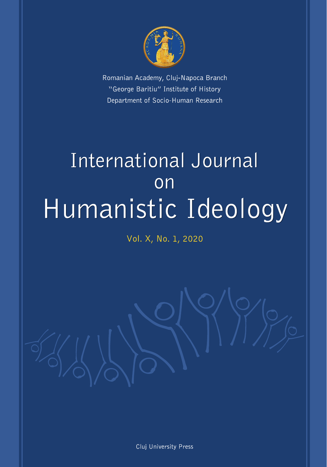

Romanian Academy, Cluj-Napoca Branch "George Baritiu" Institute of History Department of Socio-Human Research

# International Journal on Humanistic Ideology

Vol. X, No. 1, 2020

Cluj University Press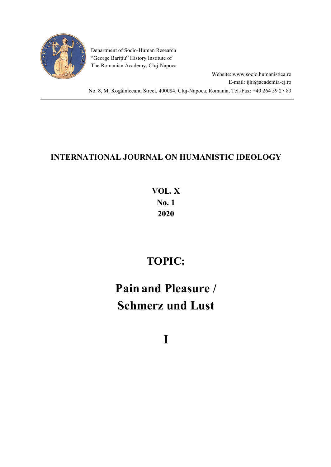

Department of Socio-Human Research "George Barițiu" History Institute of The Romanian Academy, Cluj-Napoca

Website: www.socio.humanistica.ro E-mail: ijhi@academia-cj.ro No. 8, M. Kogălniceanu Street, 400084, Cluj-Napoca, Romania, Tel./Fax: +40 264 59 27 83

### **INTERNATIONAL JOURNAL ON HUMANISTIC IDEOLOGY**

# **VOL. X No. 1 2020**

# **TOPIC:**

# **Pain and Pleasure / Schmerz und Lust**

**I**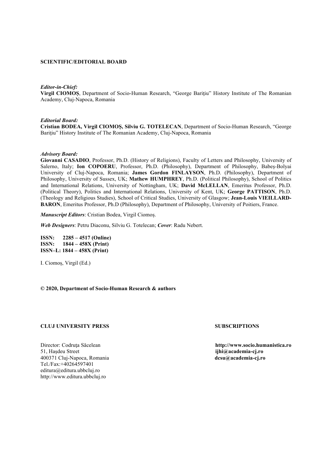#### **SCIENTIFIC/EDITORIAL BOARD**

#### *Editor-in-Chief:*

**Virgil CIOMOȘ**, Department of Socio-Human Research, "George Bariţiu" History Institute of The Romanian Academy, Cluj-Napoca, Romania

#### *Editorial Board:*

**Cristian BODEA, Virgil CIOMOȘ, Silviu G. TOTELECAN**, Department of Socio-Human Research, "George Bariţiu" History Institute of The Romanian Academy, Cluj-Napoca, Romania

#### *Advisory Board:*

**Giovanni CASADIO**, Professor, Ph.D. (History of Religions), Faculty of Letters and Philosophy, University of Salerno, Italy; **Ion COPOERU**, Professor, Ph.D. (Philosophy), Department of Philosophy, Babeș-Bolyai University of Cluj-Napoca, Romania; **James Gordon FINLAYSON**, Ph.D. (Philosophy), Department of Philosophy, University of Sussex, UK; **Mathew HUMPHREY**, Ph.D. (Political Philosophy), School of Politics and International Relations, University of Nottingham, UK; **David McLELLAN**, Emeritus Professor, Ph.D. (Political Theory), Politics and International Relations, University of Kent, UK; **George PATTISON**, Ph.D. (Theology and Religious Studies), School of Critical Studies, University of Glasgow; **Jean-Louis VIEILLARD-BARON**, Emeritus Professor, Ph.D (Philosophy), Department of Philosophy, University of Poitiers, France.

*Manuscript Editors*: Cristian Bodea, Virgil Ciomoș.

*Web Designers*: Petru Diaconu, Silviu G. Totelecan; *Cover*: Radu Nebert.

**ISSN: 2285 – 4517 (Online) ISSN: 1844 – 458X (Print) ISSN–L: 1844 – 458X (Print)**

I. Ciomoș, Virgil (Ed.)

#### **© 2020, Department of Socio-Human Research & authors**

#### **CLUJ UNIVERSITY PRESS SUBSCRIPTIONS**

51, Hașdeu Street **ijhi@academia-cj.ro** 400371 Cluj-Napoca, Romania Tel./Fax:+40264597401 editura@editura.ubbcluj.ro http://www.editura.ubbcluj.ro

Director: Codruţa Săcelean **http://www.socio.humanistica.ro**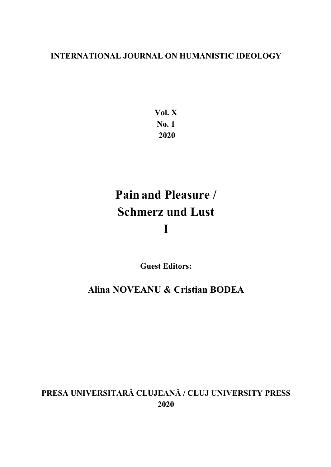### **INTERNATIONAL JOURNAL ON HUMANISTIC IDEOLOGY**

**Vol. X No. 1 2020**

# **Pain and Pleasure / Schmerz und Lust I**

**Guest Editors:**

**Alina NOVEANU & Cristian BODEA**

## **PRESA UNIVERSITARĂ CLUJEANĂ / CLUJ UNIVERSITY PRESS 2020**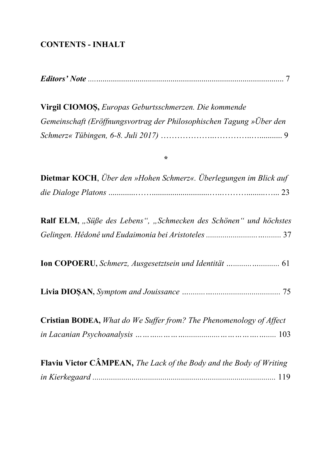### **CONTENTS - INHALT**

|--|--|--|

Virgil CIOMOȘ, Europas Geburtsschmerzen. Die kommende Gemeinschaft (Eröffnungsvortrag der Philosophischen Tagung »Über den 

#### $\star$

| <b>Dietmar KOCH</b> , Über den »Hohen Schmerz«. Überlegungen im Blick auf  |
|----------------------------------------------------------------------------|
|                                                                            |
|                                                                            |
| Ralf ELM, "Süße des Lebens", "Schmecken des Schönen" und höchstes          |
|                                                                            |
|                                                                            |
|                                                                            |
|                                                                            |
|                                                                            |
|                                                                            |
| <b>Cristian BODEA,</b> What do We Suffer from? The Phenomenology of Affect |
|                                                                            |
|                                                                            |
| Flaviu Victor CÂMPEAN, The Lack of the Body and the Body of Writing        |
|                                                                            |